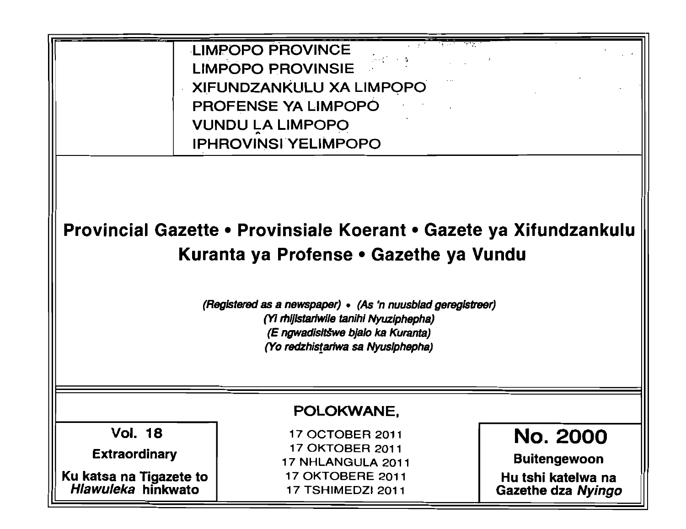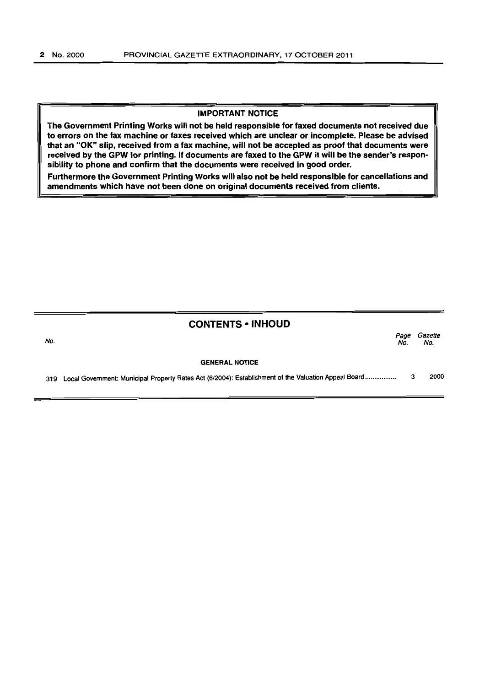#### IMPORTANT NOTICE

The Government Printing Works will not be held responsible for faxed documents not received due to errors on the fax machine or faxes received which are unclear or incomplete. Please be advised that an "OK" slip, received from a fax machine, will not be accepted as proof that documents were received by the GPW for printing. If documents are faxed to the GPW it will be the sender's responsibility to phone and confirm that the documents were received in good order.

Furthermore the Government Printing Works will also not be held responsible for cancellations and amendments which have not been done on original documents received from clients.

| <b>CONTENTS • INHOUD</b> |  |
|--------------------------|--|
|--------------------------|--|

| No. |                                                                                                          | Page<br>No. | Gazette<br>No. |
|-----|----------------------------------------------------------------------------------------------------------|-------------|----------------|
|     | <b>GENERAL NOTICE</b>                                                                                    |             |                |
|     | 319 Local Government: Municipal Property Rates Act (6/2004): Establishment of the Valuation Appeal Board |             | 2000           |